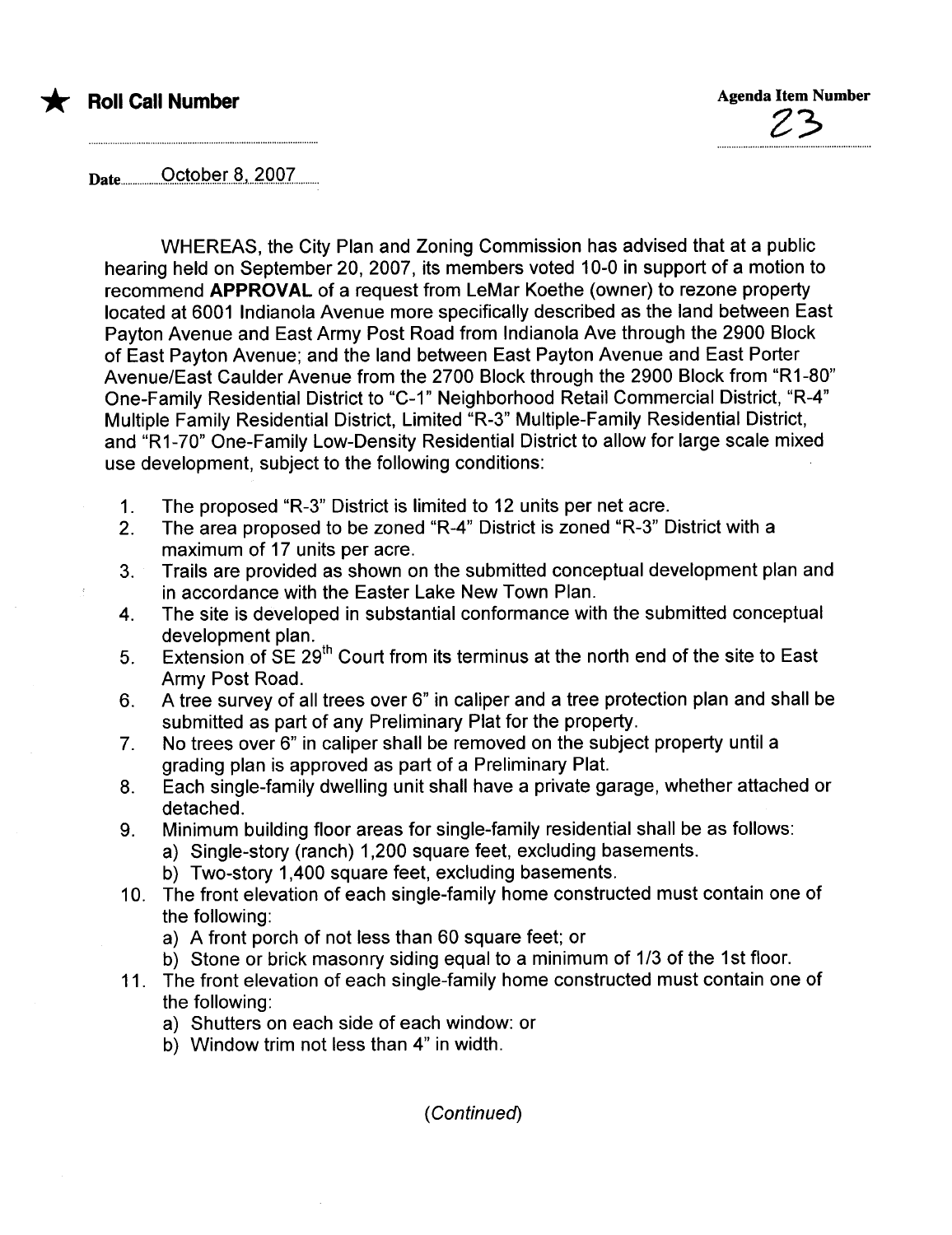Date..................O'g,ta.p..a.rJt..4.QO'7..........

WHEREAS, the City Plan and Zoning Commission has advised that at a public hearing held on September 20, 2007, its members voted 10-0 in support of a motion to recommend APPROVAL of a request from LeMar Koethe (owner) to rezone property located at 6001 Indianola Avenue more specifically described as the land between East Payton Avenue and East Army Post Road from Indianola Ave through the 2900 Block of East Payton Avenue; and the land between East Payton Avenue and East Porter Avenue/East Caulder Avenue from the 2700 Block through the 2900 Block from "R 1-80" One-Family Residential District to "C-1" Neighborhood Retail Commercial District, "R\_4" Multiple Family Residential District, Limited "R-3" Multiple-Family Residential District, and "R1-70" One-Family Low-Density Residential District to allow for large scale mixed use development, subject to the following conditions:

- 1. The proposed "R-3" District is limited to 12 units per net acre.
- 2. The area proposed to be zoned "R-4" District is zoned "R-3" District with a maximum of 17 units per acre.
- 3. Trails are provided as shown on the submitted conceptual development plan and in accordance with the Easter Lake New Town Plan.
- 4. The site is developed in substantial conformance with the submitted conceptual development plan.
- 5. Extension of SE 29<sup>th</sup> Court from its terminus at the north end of the site to East Army Post Road.
- 6. A tree survey of all trees over 6" in caliper and a tree protection plan and shall be submitted as part of any Preliminary Plat for the property.
- 7. No trees over 6" in caliper shall be removed on the subject property until a grading plan is approved as part of a Preliminary Plat.
- 8. Each single-family dwelling unit shall have a private garage, whether attached or detached.
- 9. Minimum building floor areas for single-family residential shall be as follows:
	- a) Single-story (ranch) 1,200 square feet, excluding basements.
	- b) Two-story 1,400 square feet, excluding basements.
- 10. The front elevation of each single-family home constructed must contain one of the following:
	- a) A front porch of not less than 60 square feet; or
	- b) Stone or brick masonry siding equal to a minimum of 1/3 of the 1st floor.
- 11. The front elevation of each single-family home constructed must contain one of the following:
	- a) Shutters on each side of each window: or
	- b) Window trim not less than 4" in width.

( Continued)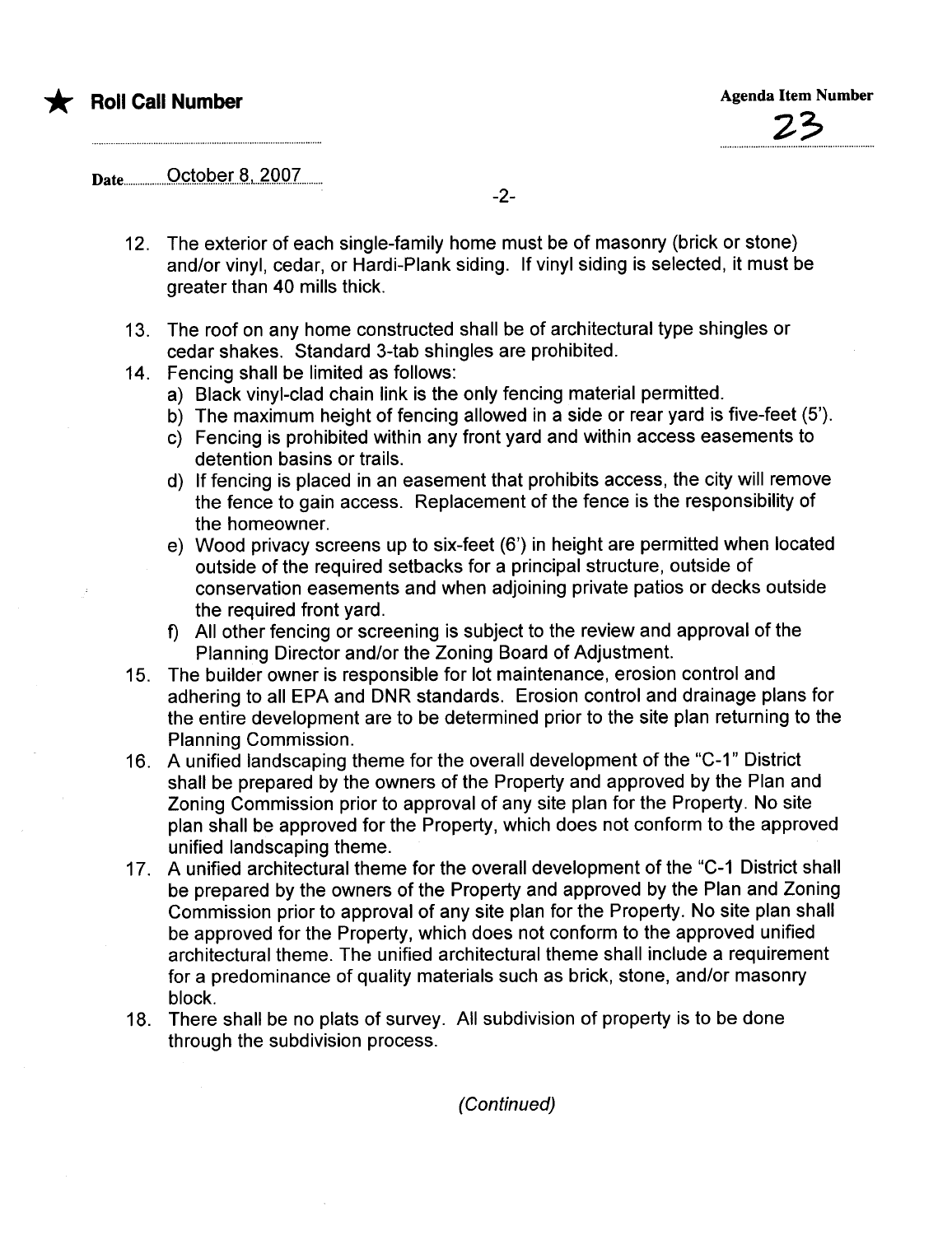Date..................O'çta.p..ar.S.,...4,OQ.7.........

-2-

- 12. The exterior of each single-family home must be of masonry (brick or stone) and/or vinyl, cedar, or Hardi-Plank siding. If vinyl siding is selected, it must be greater than 40 mills thick.
- 13. The roof on any home constructed shall be of architectural type shingles or cedar shakes. Standard 3-tab shingles are prohibited.
- 14. Fencing shall be limited as follows:
	- a) Black vinyl-clad chain link is the only fencing material permitted.
	- b) The maximum height of fencing allowed in a side or rear yard is five-feet (5').
	- c) Fencing is prohibited within any front yard and within access easements to detention basins or trails.
	- d) If fencing is placed in an easement that prohibits access, the city will remove the fence to gain access. Replacement of the fence is the responsibility of the homeowner.
	- e) Wood privacy screens up to six-feet (6') in height are permitted when located outside of the required setbacks for a principal structure, outside of conservation easements and when adjoining private patios or decks outside the required front yard.
	- f) All other fencing or screening is subject to the review and approval of the Planning Director and/or the Zoning Board of Adjustment.
- 15. The builder owner is responsible for lot maintenance, erosion control and adhering to all EPA and DNR standards. Erosion control and drainage plans for the entire development are to be determined prior to the site plan returning to the Planning Commission.
- 16. A unified landscaping theme for the overall development of the "C-1" District shall be prepared by the owners of the Property and approved by the Plan and Zoning Commission prior to approval of any site plan for the Property. No site plan shall be approved for the Property, which does not conform to the approved unified landscaping theme.
- 17. A unified architectural theme for the overall development of the "C-1 District shall be prepared by the owners of the Property and approved by the Plan and Zoning Commission prior to approval of any site plan for the Property. No site plan shall be approved for the Property, which does not conform to the approved unified architectural theme. The unified architectural theme shall include a requirement for a predominance of quality materials such as brick, stone, and/or masonry block.
- 18. There shall be no plats of survey. All subdivision of property is to be done through the subdivision process.

(Continued)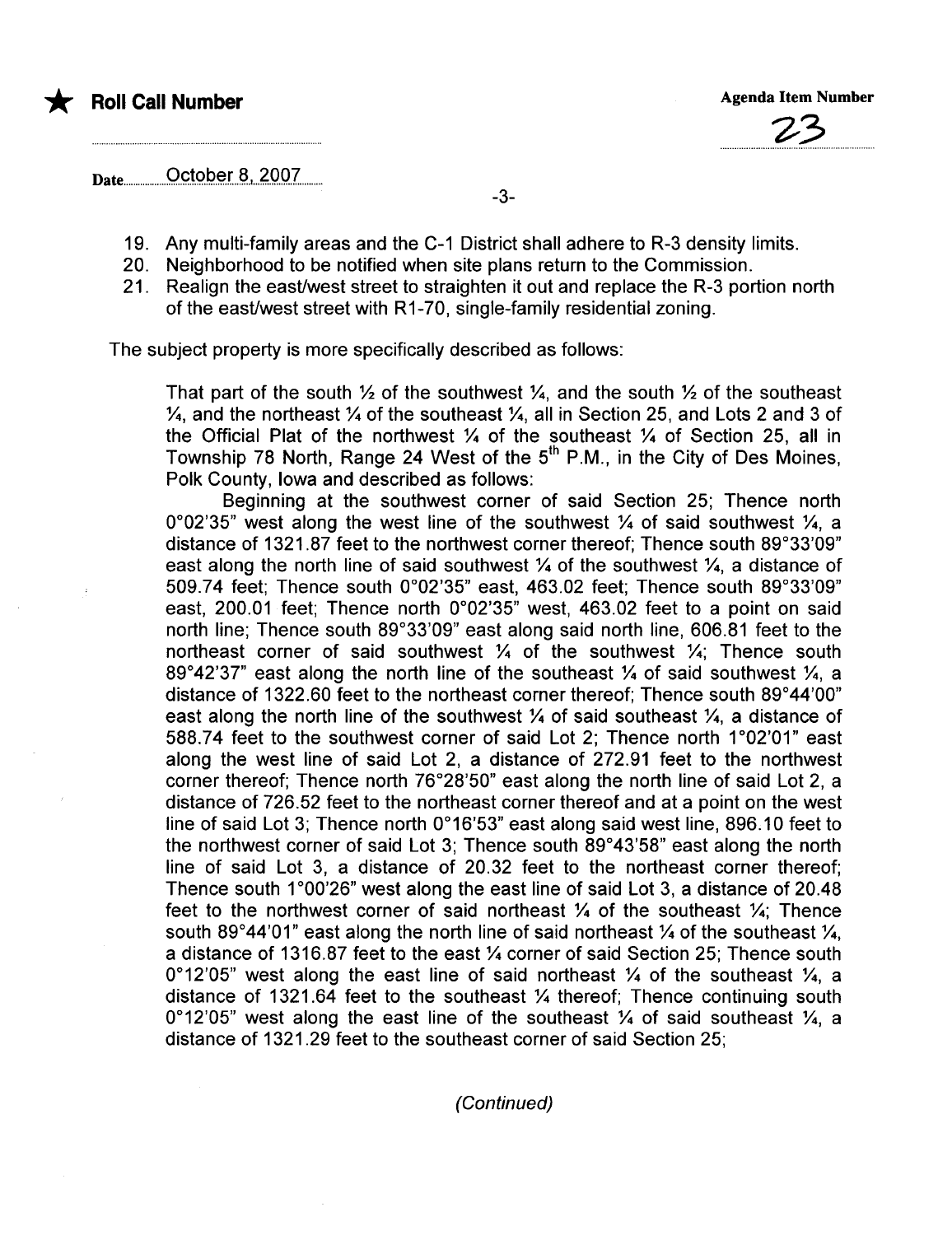# \* Roll Call Number Agenda Item Number Agenda Item Number



Date..................Q.çt.9p..~.fai...4'OQ.7........

-3-

- 19. Any multi-family areas and the C-1 District shall adhere to R-3 density limits.
- 20. Neighborhood to be notified when site plans return to the Commission.
- 21. Realign the east/west street to straighten it out and replace the R-3 portion north of the east/west street with R1-70, single-family residential zoning.

The subject property is more specifically described as follows:

That part of the south  $\frac{1}{2}$  of the southwest  $\frac{1}{4}$  and the south  $\frac{1}{2}$  of the southeast  $\frac{1}{4}$ , and the northeast  $\frac{1}{4}$  of the southeast  $\frac{1}{4}$ , all in Section 25, and Lots 2 and 3 of the Official Plat of the northwest  $\frac{1}{4}$  of the southeast  $\frac{1}{4}$  of Section 25, all in Township 78 North, Range 24 West of the 5<sup>th</sup> P.M., in the City of Des Moines, Polk County, Iowa and described as follows:

Beginning at the southwest corner of said Section 25; Thence north 0°02'35" west along the west line of the southwest  $\frac{1}{4}$  of said southwest  $\frac{1}{4}$ , a distance of 1321.87 feet to the northwest corner thereof; Thence south 89°33'09" east along the north line of said southwest  $\frac{1}{4}$  of the southwest  $\frac{1}{4}$ , a distance of 509.74 feet; Thence south 0°02'35" east, 463.02 feet; Thence south 89°33'09" east, 200.01 feet; Thence north 0°02'35" west, 463.02 feet to a point on said north line; Thence south 89°33'09" east along said north line, 606.81 feet to the northeast corner of said southwest  $\frac{1}{4}$  of the southwest  $\frac{1}{4}$ . Thence south 89°42'37" east along the north line of the southeast  $\frac{1}{4}$  of said southwest  $\frac{1}{4}$ , a distance of 1322.60 feet to the northeast corner thereof; Thence south 89°44'00" east along the north line of the southwest  $\frac{1}{4}$  of said southeast  $\frac{1}{4}$ , a distance of 588.74 feet to the southwest corner of said Lot 2; Thence north 1°02'01" east along the west line of said Lot 2, a distance of 272.91 feet to the northwest corner thereof; Thence north 76°28'50" east along the north line of said Lot 2, a distance of 726.52 feet to the northeast corner thereof and at a point on the west line of said Lot 3; Thence north 0°16'53" east along said west line, 896.10 feet to the northwest corner of said Lot 3; Thence south 89°43'58" east along the north line of said Lot 3, a distance of 20.32 feet to the northeast corner thereof; Thence south  $1^{\circ}00'26''$  west along the east line of said Lot 3, a distance of 20.48 feet to the northwest corner of said northeast  $\frac{1}{4}$  of the southeast  $\frac{1}{4}$ ; Thence south 89°44'01" east along the north line of said northeast  $\frac{1}{4}$  of the southeast  $\frac{1}{4}$ , a distance of 1316.87 feet to the east % corner of said Section 25; Thence south 0°12'05" west along the east line of said northeast  $\frac{1}{4}$  of the southeast  $\frac{1}{4}$ , a distance of 1321.64 feet to the southeast  $\frac{1}{4}$  thereof; Thence continuing south 0°12'05" west along the east line of the southeast  $\frac{1}{4}$  of said southeast  $\frac{1}{4}$ , a distance of 1321.29 feet to the southeast corner of said Section 25;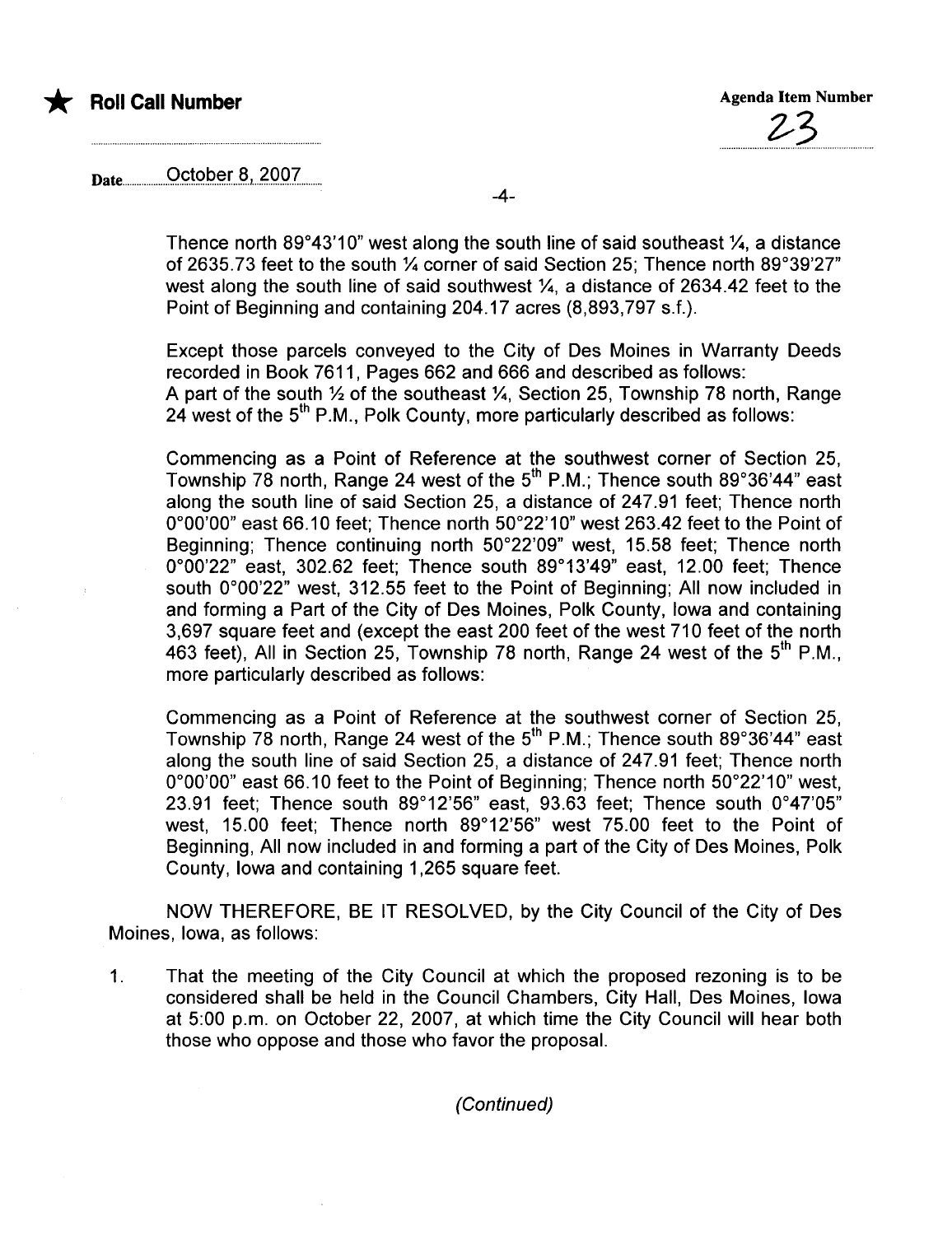

# Date................9çt9..p..~.rJ.t...?'O.9.?........

-4-

Thence north 89°43'10" west along the south line of said southeast  $\mathcal{V}_4$ , a distance of 2635.73 feet to the south 1/4 corner of said Section 25; Thence north 89°39'27" west along the south line of said southwest  $\frac{1}{4}$ , a distance of 2634.42 feet to the Point of Beginning and containing 204.17 acres (8,893,797 s.f.).

Except those parcels conveyed to the City of Des Moines in Warranty Deeds recorded in Book 7611, Pages 662 and 666 and described as follows: A part of the south  $\frac{1}{2}$  of the southeast  $\frac{1}{4}$ . Section 25, Township 78 north, Range 24 west of the  $5<sup>th</sup>$  P.M., Polk County, more particularly described as follows:

Commencing as a Point of Reference at the southwest corner of Section 25, Township 78 north, Range 24 west of the  $5<sup>th</sup>$  P.M.; Thence south 89°36'44" east along the south line of said Section 25, a distance of 247.91 feet; Thence north 0°00'00" east 66.10 feet; Thence north 50°22' 10" west 263.42 feet to the Point of Beginning; Thence continuing north 50°22'09" west, 15.58 feet; Thence north 0°00'22" east, 302.62 feet; Thence south 89°13'49" east, 12.00 feet; Thence south 0°00'22" west, 312.55 feet to the Point of Beginning; All now included in and forming a Part of the City of Des Moines, Polk County, Iowa and containing 3,697 square feet and (except the east 200 feet of the west 710 feet of the north 463 feet), All in Section 25, Township 78 north, Range 24 west of the  $5<sup>th</sup>$  P.M., more particularly described as follows:

Commencing as a Point of Reference at the southwest corner of Section 25, Township 78 north, Range 24 west of the  $5<sup>th</sup>$  P.M.; Thence south 89°36'44" east along the south line of said Section 25, a distance of 247.91 feet; Thence north 0°00'00" east 66.10 feet to the Point of Beginning; Thence north 50°22'10" west, 23.91 feet; Thence south 89°12'56" east, 93.63 feet; Thence south 0°47'05" west, 15.00 feet; Thence north 89°12'56" west 75.00 feet to the Point of Beginning, All now included in and forming a part of the City of Des Moines, Polk County, Iowa and containing 1,265 square feet.

NOW THEREFORE, BE IT RESOLVED, by the City Council of the City of Des Moines, Iowa, as follows:

1. That the meeting of the City Council at which the proposed rezoning is to be considered shall be held in the Council Chambers, City Hall, Des Moines, Iowa at 5:00 p.m. on October 22, 2007, at which time the City Council will hear both those who oppose and those who favor the proposaL.

(Continued)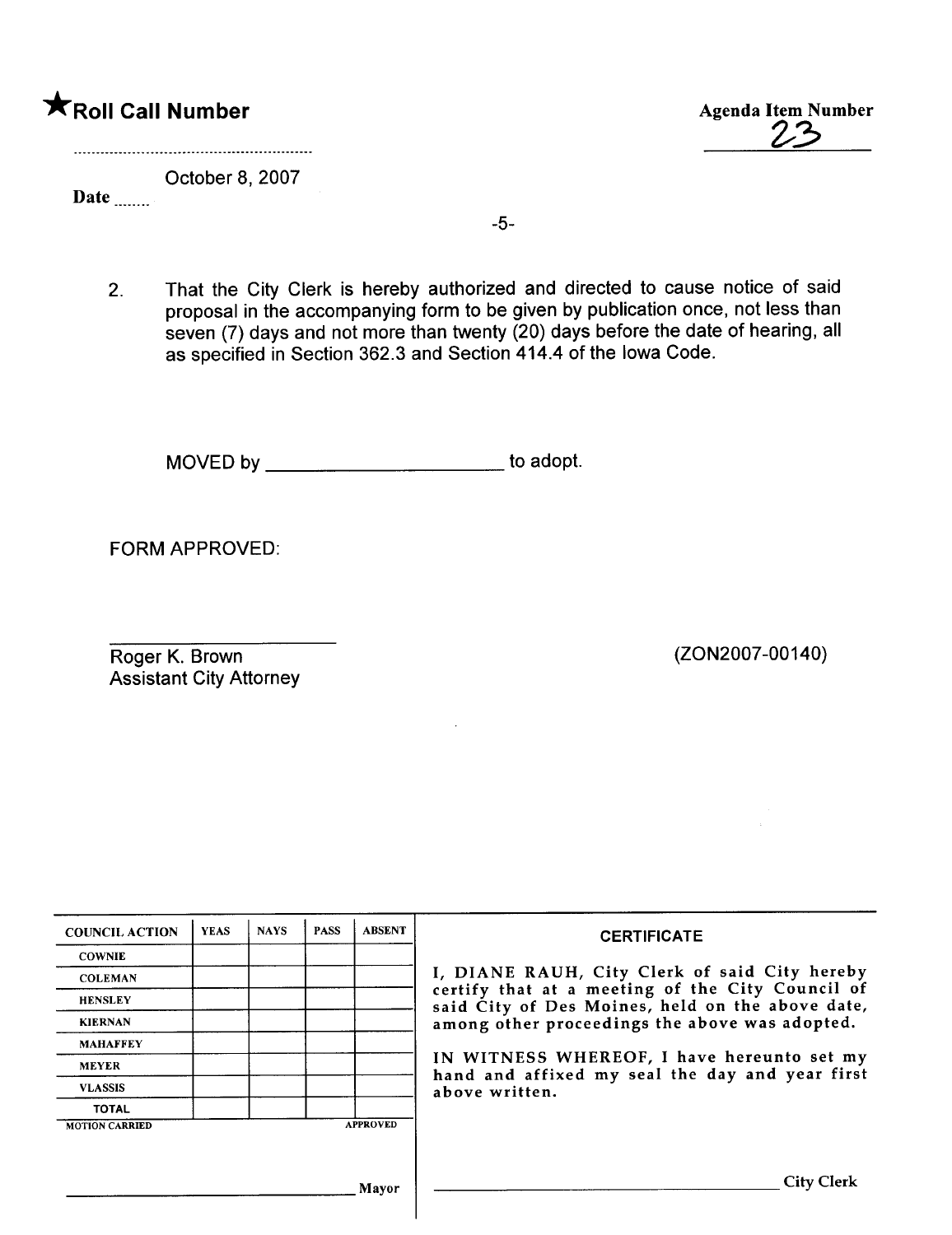# **\***Roll Call Number Agenda Item Number

 $Z^{\prime}$ 

October 8, 2007

Date

-5-

2. That the City Clerk is hereby authorized and directed to cause notice of said proposal in the accompanying form to be given by publication once, not less than seven (7) days and not more than twenty (20) days before the date of hearing, all as specified in Section 362.3 and Section 414.4 of the Iowa Code.

MOVED by \_\_\_\_\_\_\_\_\_\_\_\_\_\_\_\_\_\_\_\_\_\_\_\_\_\_\_\_ to adopt.

FORM APPROVED:

Roger K. Brown Assistant City Attorney (ZON2007 -00140)

| <b>COUNCIL ACTION</b> | <b>YEAS</b> | <b>NAYS</b> | <b>PASS</b> | <b>ABSENT</b>   | <b>CERTIFICATE</b>                                                                                   |
|-----------------------|-------------|-------------|-------------|-----------------|------------------------------------------------------------------------------------------------------|
| <b>COWNIE</b>         |             |             |             |                 |                                                                                                      |
| <b>COLEMAN</b>        |             |             |             |                 | I, DIANE RAUH, City Clerk of said City hereby                                                        |
| <b>HENSLEY</b>        |             |             |             |                 | certify that at a meeting of the City Council of<br>said City of Des Moines, held on the above date, |
| <b>KIERNAN</b>        |             |             |             |                 | among other proceedings the above was adopted.                                                       |
| <b>MAHAFFEY</b>       |             |             |             |                 |                                                                                                      |
| <b>MEYER</b>          |             |             |             |                 | IN WITNESS WHEREOF, I have hereunto set my<br>hand and affixed my seal the day and year first        |
| <b>VLASSIS</b>        |             |             |             |                 | above written.                                                                                       |
| <b>TOTAL</b>          |             |             |             |                 |                                                                                                      |
| <b>MOTION CARRIED</b> |             |             |             | <b>APPROVED</b> |                                                                                                      |
|                       |             |             |             |                 |                                                                                                      |
|                       |             |             |             |                 |                                                                                                      |
|                       |             |             |             | Mayor           | <b>City Clerk</b>                                                                                    |

 $\overline{\phantom{a}}$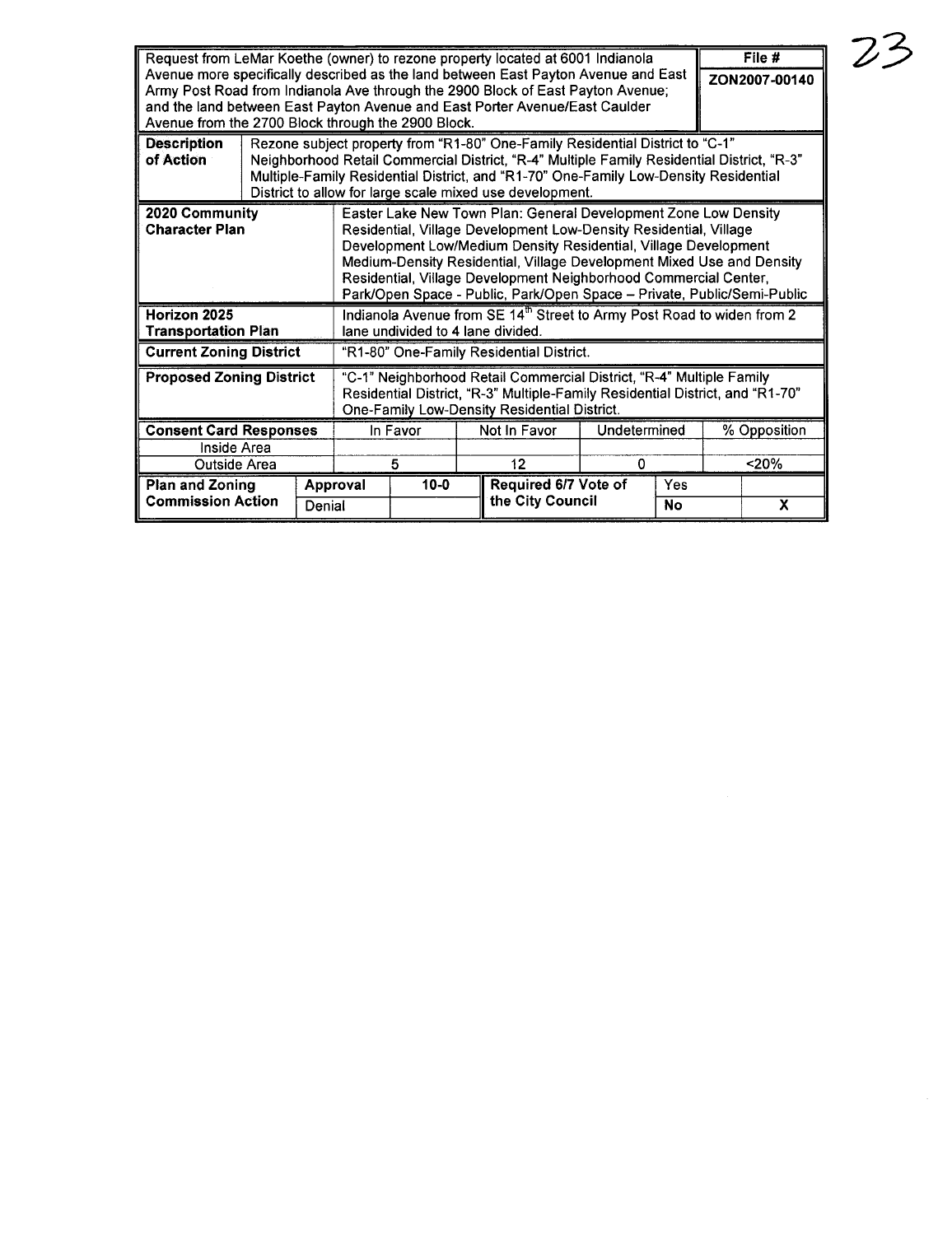| Request from LeMar Koethe (owner) to rezone property located at 6001 Indianola<br>Avenue more specifically described as the land between East Payton Avenue and East<br>Army Post Road from Indianola Ave through the 2900 Block of East Payton Avenue;<br>and the land between East Payton Avenue and East Porter Avenue/East Caulder<br>Avenue from the 2700 Block through the 2900 Block. |  |                      |                                                                                                                                                                                                                                                                                                                                                                                                                                 |  |                                                       |              |     | File #<br>ZON2007-00140 |   |
|----------------------------------------------------------------------------------------------------------------------------------------------------------------------------------------------------------------------------------------------------------------------------------------------------------------------------------------------------------------------------------------------|--|----------------------|---------------------------------------------------------------------------------------------------------------------------------------------------------------------------------------------------------------------------------------------------------------------------------------------------------------------------------------------------------------------------------------------------------------------------------|--|-------------------------------------------------------|--------------|-----|-------------------------|---|
| <b>Description</b><br>of Action                                                                                                                                                                                                                                                                                                                                                              |  |                      | Rezone subject property from "R1-80" One-Family Residential District to "C-1"<br>Neighborhood Retail Commercial District, "R-4" Multiple Family Residential District, "R-3"<br>Multiple-Family Residential District, and "R1-70" One-Family Low-Density Residential<br>District to allow for large scale mixed use development.                                                                                                 |  |                                                       |              |     |                         |   |
| 2020 Community<br><b>Character Plan</b>                                                                                                                                                                                                                                                                                                                                                      |  |                      | Easter Lake New Town Plan: General Development Zone Low Density<br>Residential, Village Development Low-Density Residential, Village<br>Development Low/Medium Density Residential, Village Development<br>Medium-Density Residential, Village Development Mixed Use and Density<br>Residential, Village Development Neighborhood Commercial Center,<br>Park/Open Space - Public, Park/Open Space - Private, Public/Semi-Public |  |                                                       |              |     |                         |   |
| Horizon 2025<br><b>Transportation Plan</b>                                                                                                                                                                                                                                                                                                                                                   |  |                      | Indianola Avenue from SE 14 <sup>th</sup> Street to Army Post Road to widen from 2<br>lane undivided to 4 lane divided.                                                                                                                                                                                                                                                                                                         |  |                                                       |              |     |                         |   |
| <b>Current Zoning District</b>                                                                                                                                                                                                                                                                                                                                                               |  |                      | "R1-80" One-Family Residential District.                                                                                                                                                                                                                                                                                                                                                                                        |  |                                                       |              |     |                         |   |
| <b>Proposed Zoning District</b>                                                                                                                                                                                                                                                                                                                                                              |  |                      | "C-1" Neighborhood Retail Commercial District, "R-4" Multiple Family<br>Residential District, "R-3" Multiple-Family Residential District, and "R1-70"<br>One-Family Low-Density Residential District.                                                                                                                                                                                                                           |  |                                                       |              |     |                         |   |
| <b>Consent Card Responses</b>                                                                                                                                                                                                                                                                                                                                                                |  | In Favor             |                                                                                                                                                                                                                                                                                                                                                                                                                                 |  | Not In Favor                                          | Undetermined |     | % Opposition            |   |
| Inside Area<br>Outside Area                                                                                                                                                                                                                                                                                                                                                                  |  | 5                    |                                                                                                                                                                                                                                                                                                                                                                                                                                 |  | 12                                                    | $\Omega$     |     | 20%                     |   |
| <b>Plan and Zoning</b><br><b>Commission Action</b><br>Denial                                                                                                                                                                                                                                                                                                                                 |  | $10 - 0$<br>Approval |                                                                                                                                                                                                                                                                                                                                                                                                                                 |  | Required 6/7 Vote of<br>the City Council<br><b>No</b> |              | Yes |                         | X |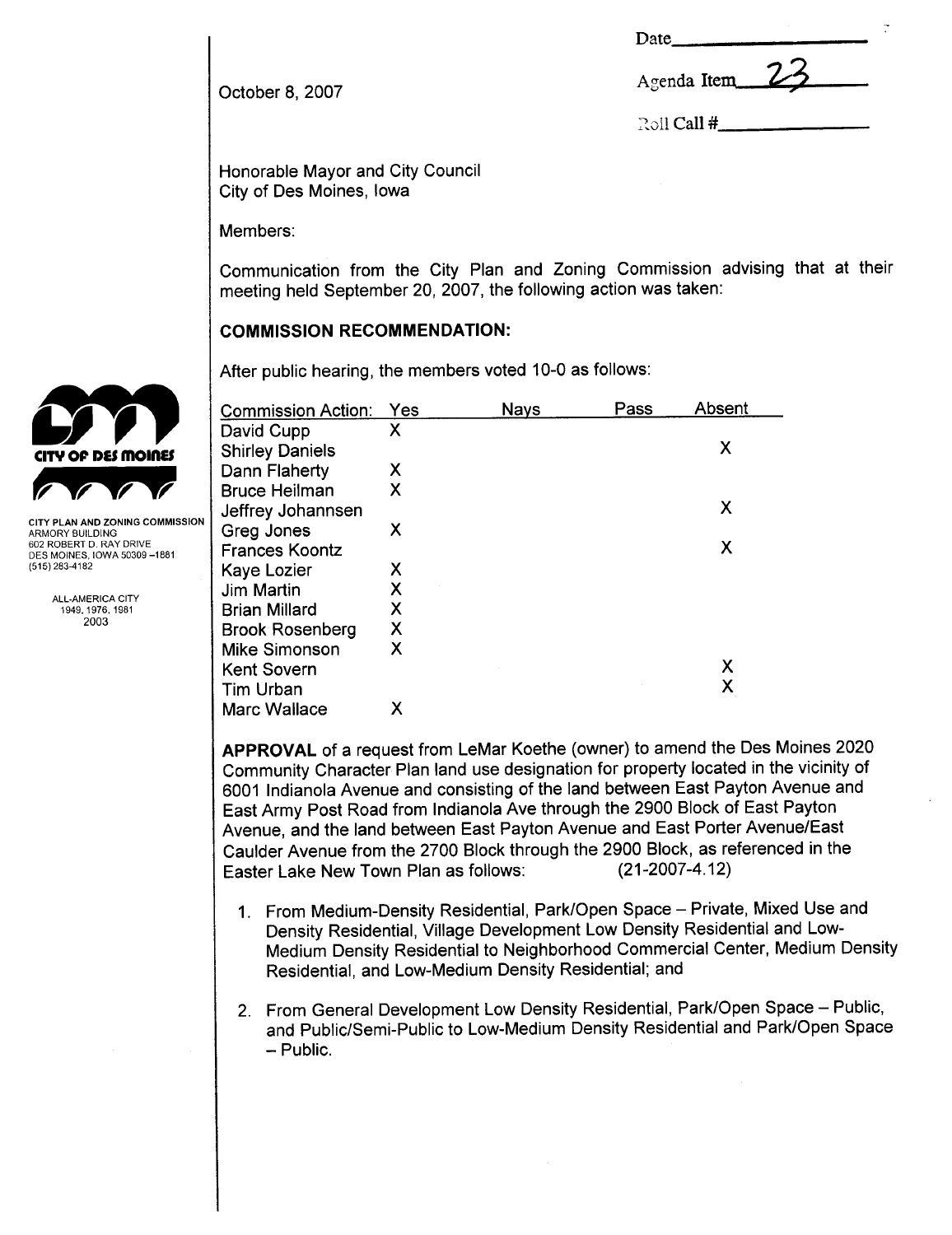| Date |  |
|------|--|
|------|--|

| Agenda Item |  |  |
|-------------|--|--|
|-------------|--|--|

: $\overline{1}$  Call  $#$ 

October 8, 2007

Honorable Mayor and City Council City of Des Moines, Iowa

Members:

Communication from the City Plan and Zoning Commission advising that at their meeting held September 20, 2007, the following action was taken:

# COMMISSION RECOMMENDATION:

|                                                                                                                                | After public hearing, the members voted 10-0 as follows: |     |             |      |        |  |  |
|--------------------------------------------------------------------------------------------------------------------------------|----------------------------------------------------------|-----|-------------|------|--------|--|--|
|                                                                                                                                | <b>Commission Action:</b>                                | Yes | <b>Nays</b> | Pass | Absent |  |  |
| CITY OF DES MOINES                                                                                                             | David Cupp<br><b>Shirley Daniels</b>                     | Χ   |             |      | X      |  |  |
|                                                                                                                                | Dann Flaherty                                            | Χ   |             |      |        |  |  |
|                                                                                                                                | <b>Bruce Heilman</b><br>Jeffrey Johannsen                | Χ   |             |      | X      |  |  |
| CITY PLAN AND ZONING COMMISSION<br>ARMORY BUILDING<br>602 ROBERT D. RAY DRIVE<br>DES MOINES, IOWA 50309-1881<br>(515) 283-4182 | Greg Jones<br><b>Frances Koontz</b>                      | X   |             |      | X      |  |  |
|                                                                                                                                | Kaye Lozier                                              | Χ   |             |      |        |  |  |
| <b>ALL-AMERICA CITY</b>                                                                                                        | Jim Martin                                               | Χ   |             |      |        |  |  |
| 1949, 1976, 1981                                                                                                               | <b>Brian Millard</b>                                     | Χ   |             |      |        |  |  |
| 2003                                                                                                                           | <b>Brook Rosenberg</b>                                   | Χ   |             |      |        |  |  |
|                                                                                                                                | <b>Mike Simonson</b>                                     | Χ   |             |      |        |  |  |
|                                                                                                                                | <b>Kent Sovern</b>                                       |     |             |      | Χ      |  |  |
|                                                                                                                                | <b>Tim Urban</b>                                         |     |             |      | Χ      |  |  |
|                                                                                                                                | Marc Wallace                                             | Χ   |             |      |        |  |  |

APPROVAL of a request from LeMar Koethe (owner) to amend the Des Moines 2020 Community Character Plan land use designation for property located in the vicinity of 6001 Indianola Avenue and consisting of the land between East Payton Avenue and East Army Post Road from Indianola Ave through the 2900 Block of East Payton Avenue, and the land between East Payton Avenue and East Porter Avenue/East Caulder Avenue from the 2700 Block through the 2900 Block, as referenced in the Faster Lake New Town Plan as follows: (21-2007-4.12) Easter Lake New Town Plan as follows:

- 1. From Medium-Density Residential, Park/Open Space Private, Mixed Use and Density Residential, Village Development Low Density Residential and Low-Medium Density Residential to Neighborhood Commercial Center, Medium Density Residential, and Low-Medium Density Residential; and
- 2. From General Development Low Density Residential, Park/Open Space Public, and Public/Semi-Public to Low-Medium Density Residential and Park/Open Space - Public.

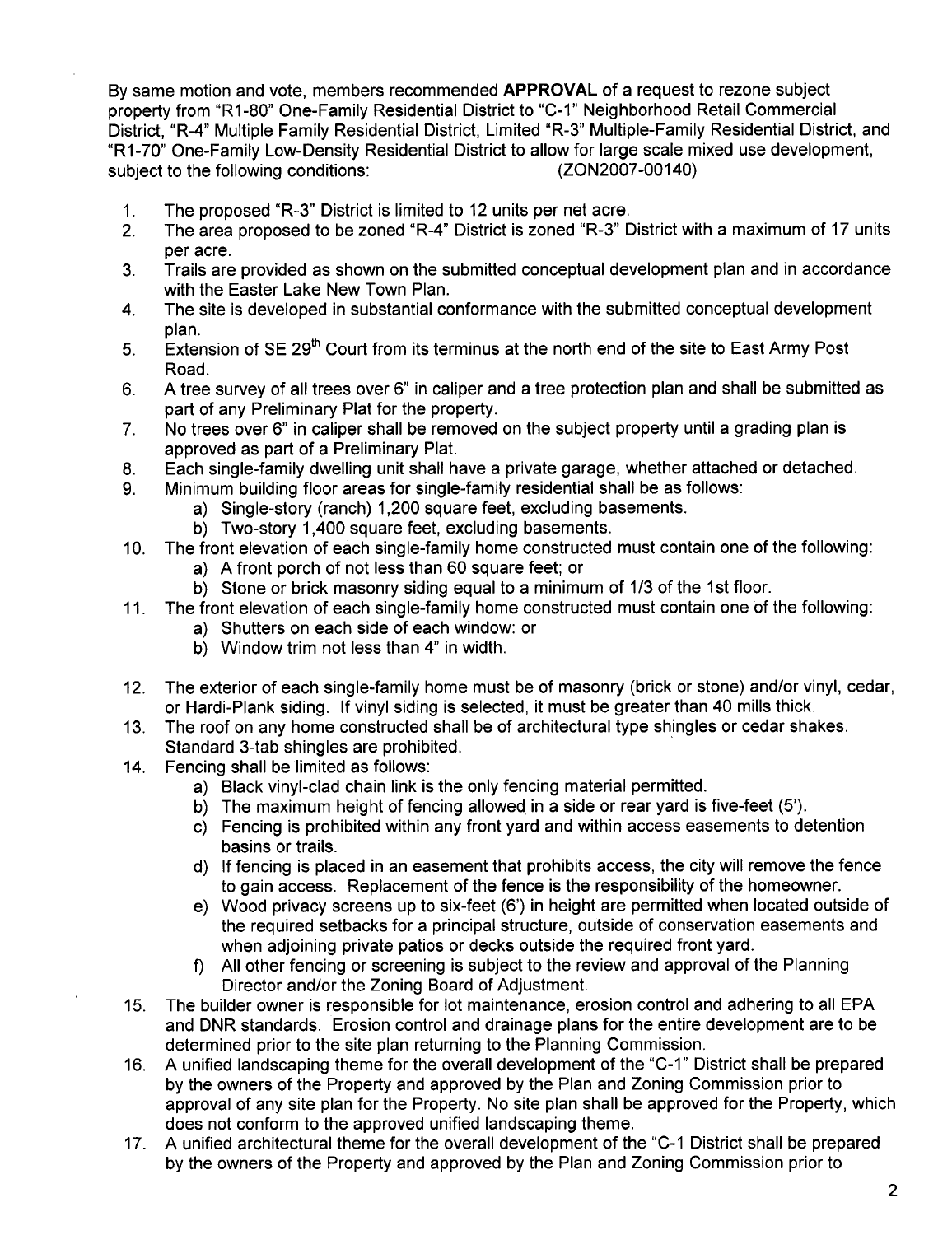By same motion and vote, members recommended APPROVAL of a request to rezone subject property from "R1-80" One-Family Residential District to "C-1" Neighborhood Retail Commercial District, "R-4" Multiple Family Residential District, Limited "R-3" Multiple-Family Residential District, and "R1-70" One-Family Low-Density Residential District to allow for large scale mixed use development, subject to the following conditions: (ZON2007-00140)

- 
- 1. The proposed "R-3" District is limited to 12 units per net acre.<br>2. The area proposed to be zoned "R-4" District is zoned "R-3" D 2. The area proposed to be zoned "R-4" District is zoned "R-3" District with a maximum of 17 units per acre.
- 3. Trails are provided as shown on the submitted conceptual development plan and in accordance with the Easter Lake New Town Plan.
- 4. The site is developed in substantial conformance with the submitted conceptual development plan.
- 5. Extension of SE 29<sup>th</sup> Court from its terminus at the north end of the site to East Army Post Road.
- 6. A tree survey of all trees over 6" in caliper and a tree protection plan and shall be submitted as part of any Preliminary Plat for the property.
- 7. No trees over 6" in caliper shall be removed on the subject property until a grading plan is approved as part of a Preliminary Plat.
- 8. Each single-family dwelling unit shall have a private garage, whether attached or detached.
- 9. Minimum building floor areas for single-family residential shall be as follows:
	- a) Single-story (ranch) 1,200 square feet, excluding basements.
		- b) Two-story 1,400 square feet, excluding basements.
- 10. The front elevation of each single-family home constructed must contain one of the following:
	- a) A front porch of not less than 60 square feet; or
	- b) Stone or brick masonry siding equal to a minimum of 1/3 of the 1st floor.
- 11. The front elevation of each single-family home constructed must contain one of the following:
	- a) Shutters on each side of each window: or
	- b) Window trim not less than 4" in width.
- 12. The exterior of each single-family home must be of masonry (brick or stone) and/or vinyl, cedar, or Hardi-Plank siding. If vinyl siding is selected, it must be greater than 40 mills thick.
- 13. The roof on any home constructed shall be of architectural type shingles or cedar shakes. Standard 3-tab shingles are prohibited. .
- 14. Fencing shall be limited as follows:
	- a) Black vinyl-clad chain link is the only fencing material permitted.
	- b) The maximum height of fencing allowed in a side or rear yard is five-feet  $(5')$ .
	- c) Fencing is prohibited within any front yard and within access easements to detention basins or trails.
	- d) If fencing is placed in an easement that prohibits access, the city will remove the fence to gain access. Replacement of the fence is the responsibility of the homeowner.
	- e) Wood privacy screens up to six-feet (6') in height are permitted when located outside of the required setbacks for a principal structure, outside of conservation easements and when adjoining private patios or decks outside the required front yard.
	- f) All other fencing or screening is subject to the review and approval of the Planning Director and/or the Zoning Board of Adjustment.
- 15. The builder owner is responsible for lot maintenance, erosion control and adhering to all EPA and DNR standards. Erosion control and drainage plans for the entire development are to be determined prior to the site plan returning to the Planning Commission.
- 16. A unified landscaping theme for the overall development of the "C-1" District shall be prepared by the owners of the Property and approved by the Plan and Zoning Commission prior to approval of any site plan for the Property. No site plan shall be approved for the Property, which does not conform to the approved unified landscaping theme.
- 17. A unified architectural theme for the overall development of the "C\_1 District shall be prepared by the owners of the Property and approved by the Plan and Zoning Commission prior to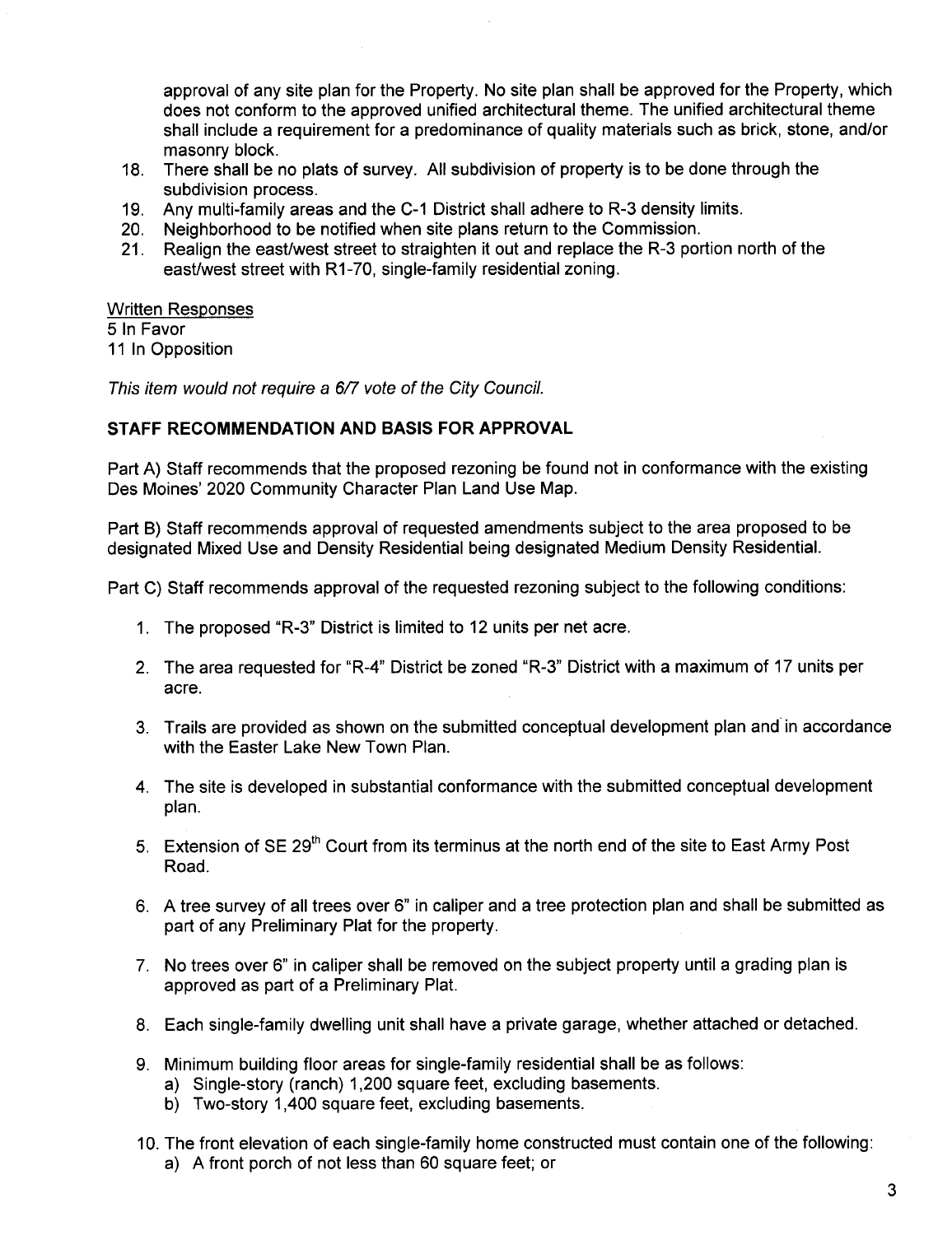approval of any site plan for the Property. No site plan shall be approved for the Property, which does not conform to the approved unified architectural theme. The unified architectural theme shall include a requirement for a predominance of quality materials such as brick, stone, and/or masonry block.

- 18. There shall be no plats of survey. All subdivision of property is to be done through the subdivision process.
- 19. Any multi-family areas and the C-1 District shall adhere to R-3 density limits.
- 20. Neighborhood to be notified when site plans return to the Commission.
- 21. Realign the east/west street to straighten it out and replace the R-3 portion north of the east/west street with R1-70, single-family residential zoning.

#### Written Responses

5 In Favor

11 In Opposition

This item would not require a 6/7 vote of the City Council.

### STAFF RECOMMENDATION AND BASIS FOR APPROVAL

Part A) Staff recommends that the proposed rezoning be found not in conformance with the existing Des Moines' 2020 Community Character Plan Land Use Map.

Part B) Staff recommends approval of requested amendments subject to the area proposed to be designated Mixed Use and Density Residential being designated Medium Density ResidentiaL.

Part C) Staff recommends approval of the requested rezoning subject to the following conditions:

- 1. The proposed "R-3" District is limited to 12 units per net acre.
- 2. The area requested for "R-4" District be zoned "R-3" District with a maximum of 17 units per acre.
- 3. Trails are provided as shown on the submitted conceptual development plan and in accordance with the Easter Lake New Town Plan.
- 4. The site is developed in substantial conformance with the submitted conceptual development plan.
- 5. Extension of SE 29<sup>th</sup> Court from its terminus at the north end of the site to East Army Post Road.
- 6. A tree survey of all trees over 6" in caliper and a tree protection plan and shall be submitted as part of any Preliminary Plat for the property.
- 7. No trees over 6" in caliper shall be removed on the subject property until a grading plan is approved as part of a Preliminary Plat.
- 8. Each single-family dwelling unit shall have a private garage, whether attached or detached.
- 9. Minimum building floor areas for single-family residential shall be as follows:
	- a) Single-story (ranch) 1,200 square feet, excluding basements.
	- b) Two-story 1,400 square feet, excluding basements.
- 10. The front elevation of each single-family home constructed must contain one of the following: a) A front porch of not less than 60 square feet; or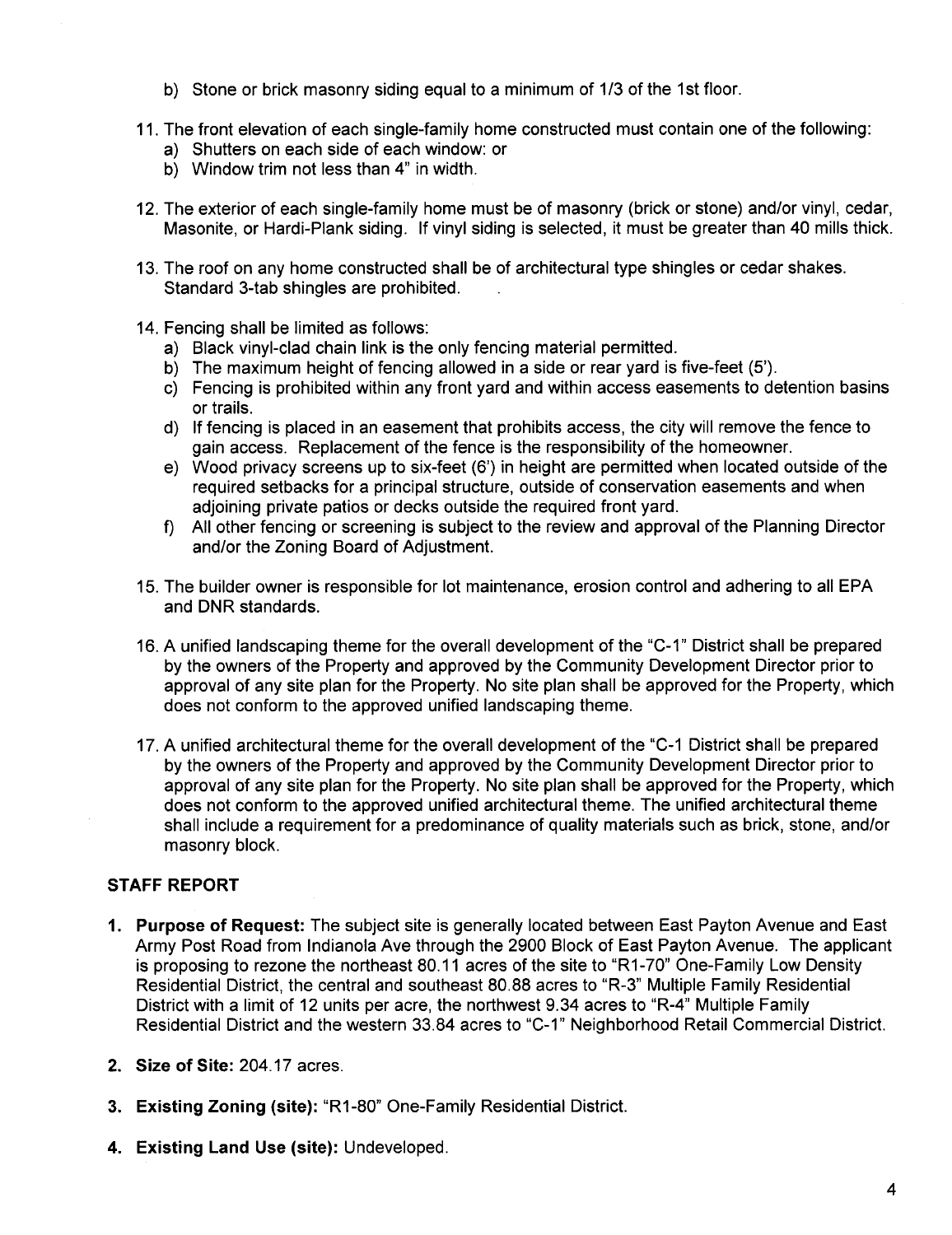- b) Stone or brick masonry siding equal to a minimum of 1/3 of the 1st floor.
- 11. The front elevation of each single-family home constructed must contain one of the following:
	- a) Shutters on each side of each window: or
	- b) Window trim not less than 4" in width.
- 12. The exterior of each single-family home must be of masonry (brick or stone) and/or vinyl, cedar, Masonite, or Hardi-Plank siding. If vinyl siding is selected, it must be greater than 40 mills thick.
- 13. The roof on any home constructed shall be of architectural type shingles or cedar shakes. Standard 3-tab shingles are prohibited.
- 14. Fencing shall be limited as follows:
	- a) Black vinyl-clad chain link is the only fencing material permitted.
	- b) The maximum height of fencing allowed in a side or rear yard is five-feet (5').
	- c) Fencing is prohibited within any front yard and within access easements to detention basins or trails.
	- d) If fencing is placed in an easement that prohibits access, the city will remove the fence to gain access. Replacement of the fence is the responsibility of the homeowner.
	- e) Wood privacy screens up to six-feet (6') in height are permitted when located outside of the required setbacks for a principal structure, outside of conservation easements and when adjoining private patios or decks outside the required front yard.
	- f) All other fencing or screening is subject to the review and approval of the Planning Director and/or the Zoning Board of Adjustment.
- 15. The builder owner is responsible for lot maintenance, erosion control and adhering to all EPA and DNR standards.
- 16. A unified landscaping theme for the overall development of the "C-1" District shall be prepared by the owners of the Property and approved by the Community Development Director prior to approval of any site plan for the Property. No site plan shall be approved for the Property, which does not conform to the approved unified landscaping theme.
- 17. A unified architectural theme for the overall development of the "C\_1 District shall be prepared by the owners of the Property and approved by the Community Development Director prior to approval of any site plan for the Property. No site plan shall be approved for the Property, which does not conform to the approved unified architectural theme. The unified architectural theme shall include a requirement for a predominance of quality materials such as brick, stone, and/or masonry block.

### STAFF REPORT

- 1. Purpose of Request: The subject site is generally located between East Payton Avenue and East Army Post Road from Indianola Ave through the 2900 Block of East Payton Avenue. The applicant is proposing to rezone the northeast 80.11 acres of the site to "R1-70" One-Family Low Density Residential District, the central and southeast 80.88 acres to "R-3" Multiple Family Residential District with a limit of 12 units per acre, the northwest 9.34 acres to "R-4" Multiple Family Residential District and the western 33.84 acres to "C-1" Neighborhood Retail Commercial District.
- 2. Size of Site: 204.17 acres.
- 3. Existing Zoning (site): "R1-80" One-Family Residential District.
- 4. Existing Land Use (site): Undeveloped.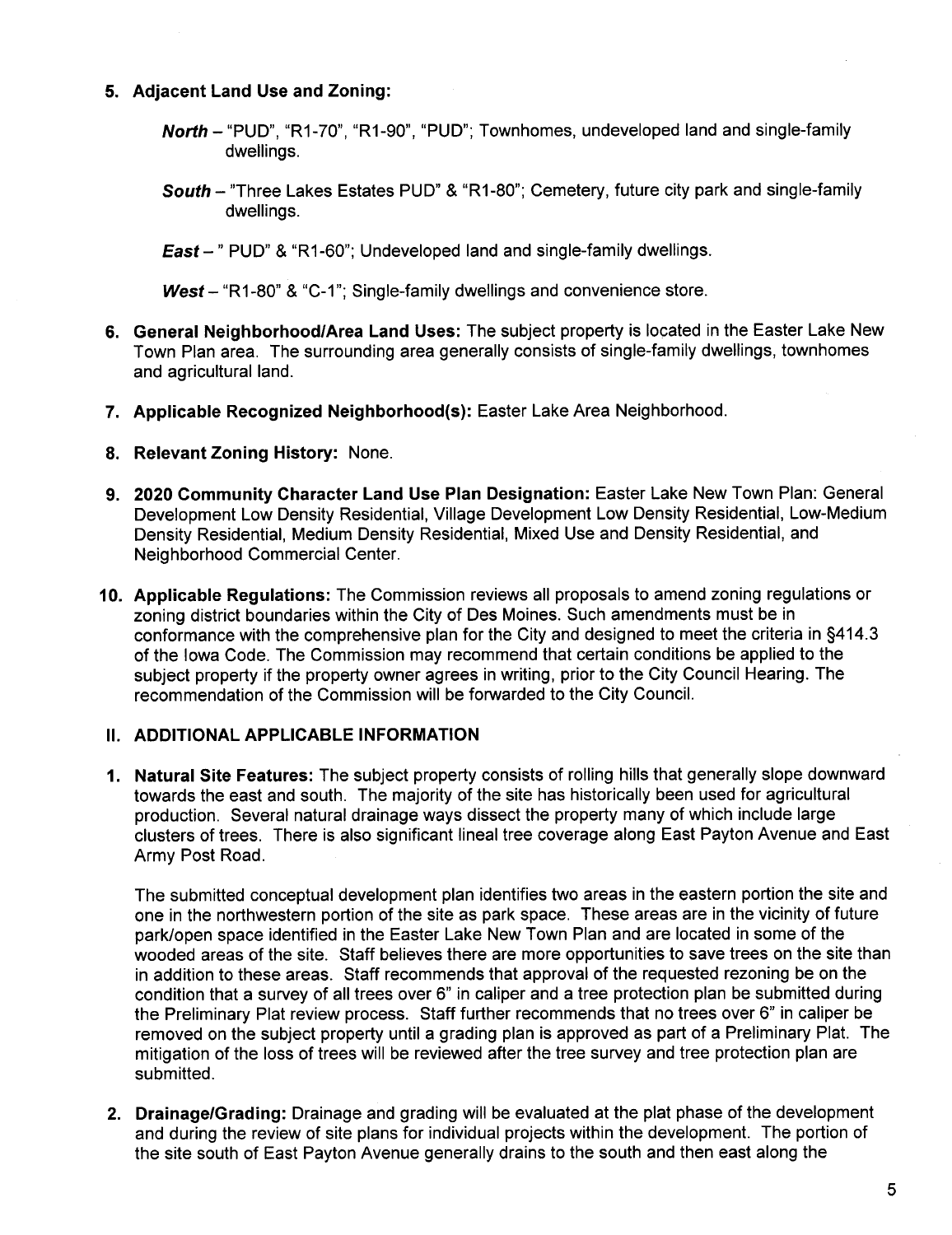### 5. Adjacent Land Use and Zoning:

- North "PUD", "R1-70", "R1-90", "PUD"; Townhomes, undeveloped land and single-family dwellings.
- South "Three Lakes Estates PUD" & "R1-80"; Cemetery, future city park and single-family dwellings.
- East-" PUD" & "R1-60"; Undeveloped land and single-family dwellings.

West - "R1-80" & "C-1"; Single-family dwellings and convenience store.

- 6. General Neighborhood/Area Land Uses: The subject property is located in the Easter Lake New Town Plan area. The surrounding area generally consists of single-family dwellings, townhomes and agricultural land.
- 7. Applicable Recognized Neighborhood(s): Easter Lake Area Neighborhood.
- 8. Relevant Zoning History: None.
- 9. 2020 Community Character Land Use Plan Designation: Easter Lake New Town Plan: General Development Low Density Residential, Village Development Low Density Residential, Low-Medium Density Residential, Medium Density Residential, Mixed Use and Density Residential, and Neighborhood Commercial Center.
- 10. Applicable Regulations: The Commission reviews all proposals to amend zoning regulations or zoning district boundaries within the City of Des Moines. Such amendments must be in conformance with the comprehensive plan for the City and designed to meet the criteria in §414.3 of the Iowa Code. The Commission may recommend that certain conditions be applied to the subject property if the property owner agrees in writing, prior to the City Council Hearing. The recommendation of the Commission will be forwarded to the City CounciL.

### II. ADDITIONAL APPLICABLE INFORMATION

1. Natural Site Features: The subject property consists of rolling hills that generally slope downward towards the east and south. The majority of the site has historically been used for agricultural production. Several natural drainage ways dissect the property many of which include large clusters of trees. There is also significant lineal tree coverage along East Payton Avenue and East Army Post Road.

The submitted conceptual development plan identifies two areas in the eastern portion the site and one in the northwestern portion of the site as park space. These areas are in the vicinity of future park/open space identified in the Easter Lake New Town Plan and are located in some of the wooded areas of the site. Staff believes there are more opportunities to save trees on the site than in addition to these areas. Staff recommends that approval of the requested rezoning be on the condition that a survey of all trees over 6" in caliper and a tree protection plan be submitted during the Preliminary Plat review process. Staff further recommends that no trees over 6" in caliper be removed on the subject property until a grading plan is approved as part of a Preliminary Plat. The mitigation of the loss of trees will be reviewed after the tree survey and tree protection plan are submitted.

2. Drainage/Grading: Drainage and grading will be evaluated at the plat phase of the development and during the review of site plans for individual projects within the development. The portion of the site south of East Payton Avenue generally drains to the south and then east along the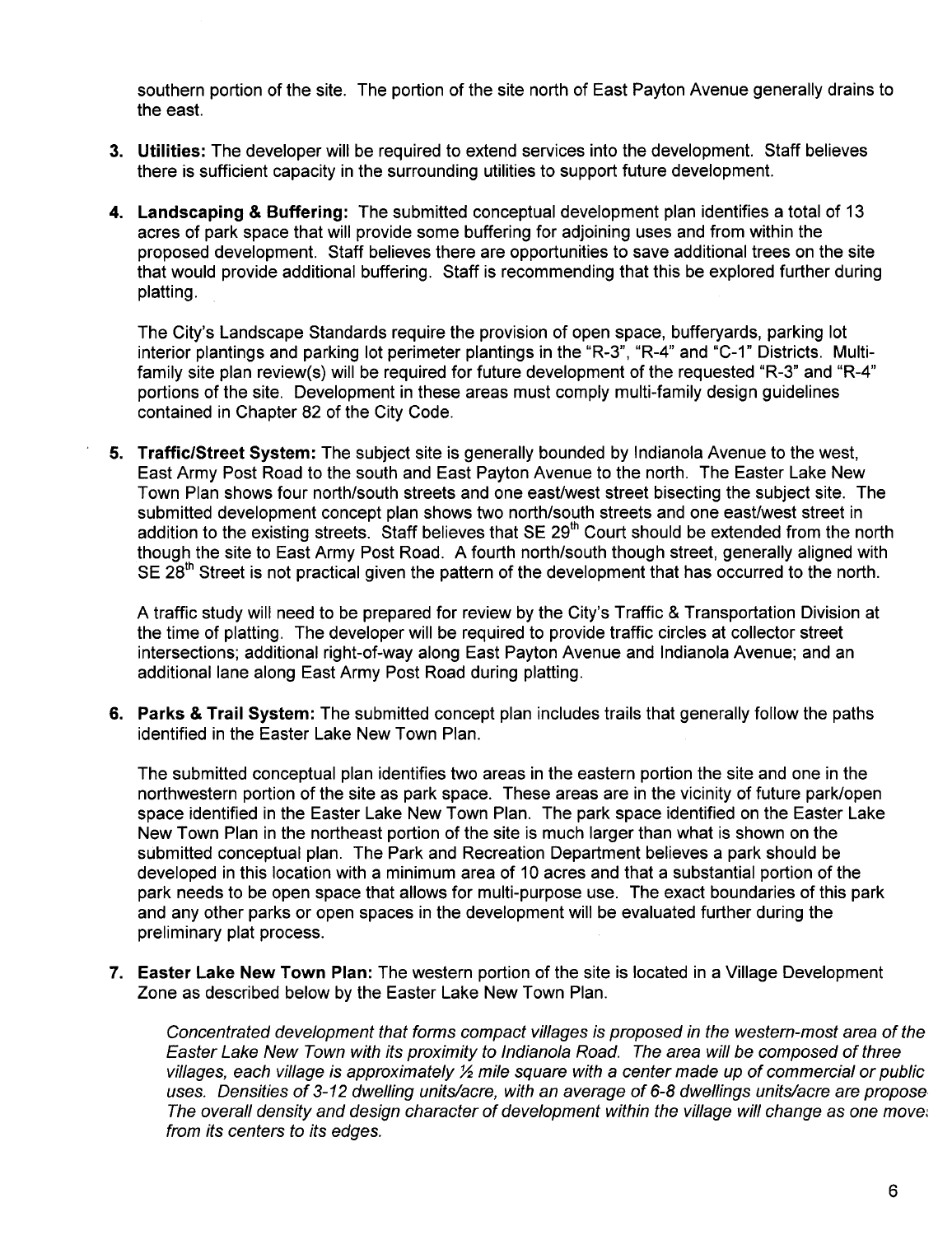southern portion of the site. The portion of the site north of East Payton Avenue generally drains to the east.

- 3. Utilities: The developer will be required to extend services into the development. Staff believes there is sufficient capacity in the surrounding utilities to support future development.
- 4. Landscaping & Buffering: The submitted conceptual development plan identifies a total of 13 acres of park space that will provide some buffering for adjoining uses and from within the proposed development. Staff believes there are opportunities to save additional trees on the site that would provide additional buffering. Staff is recommending that this be explored further during platting.

The City's Landscape Standards require the provision of open space, bufferyards, parking lot interior plantings and parking lot perimeter plantings in the "R-3", "R-4" and "C-1" Districts. Multifamily site plan review(s) will be required for future development of the requested "R-3" and "R-4" portions of the site. Development in these areas must comply multi-family design guidelines contained in Chapter 82 of the City Code.

5. Traffic/Street System: The subject site is generally bounded by Indianola Avenue to the west, East Army Post Road to the south and East Payton Avenue to the north. The Easter Lake New Town Plan shows four north/south streets and one east/west street bisecting the subject site. The submitted development concept plan shows two north/south streets and one east/west street in addition to the existing streets. Staff believes that SE 29<sup>th</sup> Court should be extended from the north though the site to East Army Post Road. A fourth north/south though street, generally aligned with SE 28<sup>th</sup> Street is not practical given the pattern of the development that has occurred to the north.

A traffic study will need to be prepared for review by the City's Traffic & Transportation Division at the time of platting. The developer will be required to provide traffic circles at collector street intersections; additional right-of-way along East Payton Avenue and Indianola Avenue; and an additional lane along East Army Post Road during platting.

6. Parks & Trail System: The submitted concept plan includes trails that generally follow the paths identified in the Easter Lake New Town Plan.

The submitted conceptual plan identifies two areas in the eastern portion the site and one in the northwestern portion of the site as park space. These areas are in the vicinity of future park/open space identified in the Easter Lake New Town Plan. The park space identified on the Easter Lake New Town Plan in the northeast portion of the site is much larger than what is shown on the submitted conceptual plan. The Park and Recreation Department believes a park should be developed in this location with a minimum area of 10 acres and that a substantial portion of the park needs to be open space that allows for multi-purpose use. The exact boundaries of this park and any other parks or open spaces in the development will be evaluated further during the preliminary plat process.

7. Easter Lake New Town Plan: The western portion of the site is located in a Village Development Zone as described below by the Easter Lake New Town Plan.

Concentrated development that forms compact vilages is proposed in the western-most area of the Easter Lake New Town with its proximity to Indianola Road. The area will be composed of three villages, each village is approximately  $\frac{1}{2}$  mile square with a center made up of commercial or public uses. Densities of 3-12 dwelling units/acre, with an average of 6-8 dwellings units/acre are propose The overall density and design character of development within the village will change as one move. from its centers to its edges.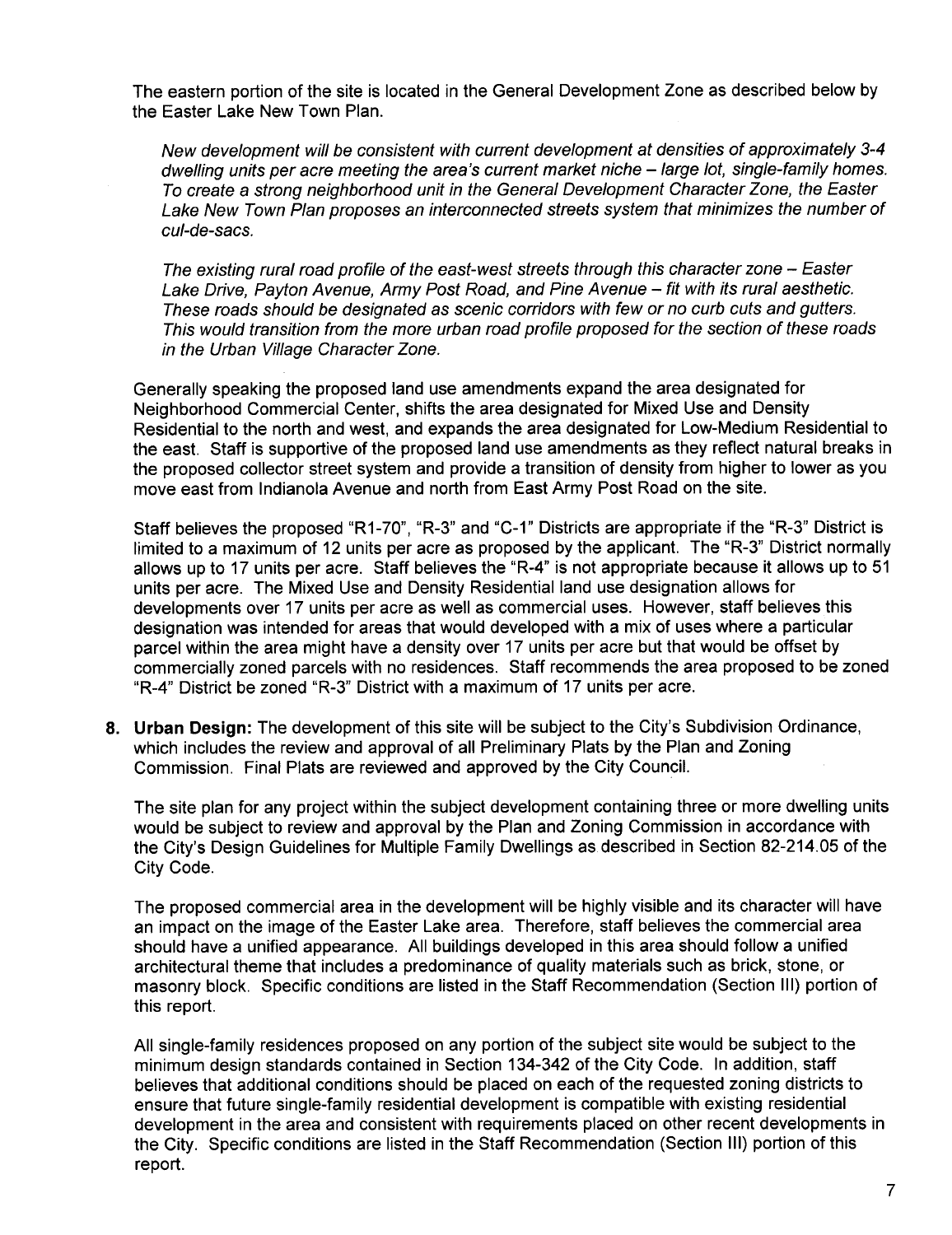The eastern portion of the site is located in the General Development Zone as described below by the Easter Lake New Town Plan.

New development wil be consistent with current development at densities of approximately 3-4 dwelling units per acre meeting the area's current market niche – large lot, single-family homes. To create a strong neighborhood unit in the General Development Character Zone, the Easter Lake New Town Plan proposes an interconnected streets system that minimizes the number of cul-de-sacs.

The existing rural road profile of the east-west streets through this character zone – Easter Lake Drive, Payton Avenue, Army Post Road, and Pine Avenue - fit with its rural aesthetic. These roads should be designated as scenic corridors with few or no curb cuts and gutters. This would transition from the more urban road profie proposed for the section of these roads in the Urban Vilage Character Zone.

Generally speaking the proposed land use amendments expand the area designated for Neighborhood Commercial Center, shifts the area designated for Mixed Use and Density Residential to the north and west, and expands the area designated for Low-Medium Residential to the east. Staff is supportive of the proposed land use amendments as they reflect natural breaks in the proposed collector street system and provide a transition of density from higher to lower as you move east from Indianola Avenue and north from East Army Post Road on the site.

Staff believes the proposed "R1-70", "R-3" and "C-1" Districts are appropriate if the "R-3" District is limited to a maximum of 12 units per acre as proposed by the applicant. The "R-3" District normally allows up to 17 units per acre. Staff believes the "R-4" is not appropriate because it allows up to 51 units per acre. The Mixed Use and Density Residential land use designation allows for developments over 17 units per acre as well as commercial uses. However, staff believes this designation was intended for areas that would developed with a mix of uses where a particular parcel within the area might have a density over 17 units per acre but that would be offset by commercially zoned parcels with no residences. Staff recommends the area proposed to be zoned "R-4" District be zoned "R-3" District with a maximum of 17 units per acre.

8. Urban Design: The development of this site will be subject to the City's Subdivision Ordinance, which includes the review and approval of all Preliminary Plats by the Plan and Zoning Commission. Final Plats are reviewed and approved by the City CounciL.

The site plan for any project within the subject development containing three or more dwelling units would be subject to review and approval by the Plan and Zoning Commission in accordance with the City's Design Guidelines for Multiple Family Dwellings as described in Section 82-214.05 of the City Code.

The proposed commercial area in the development will be highly visible and its character will have an impact on the image of the Easter Lake area. Therefore, staff believes the commercial area should have a unified appearance. All buildings developed in this area should follow a unified architectural theme that includes a predominance of quality materials such as brick, stone, or masonry block. Specific conditions are listed in the Staff Recommendation (Section III) portion of this report.

All single-family residences proposed on any portion of the subject site would be subject to the minimum design standards contained in Section 134-342 of the City Code. In addition, staff believes that additional conditions should be placed on each of the requested zoning districts to ensure that future single-family residential development is compatible with existing residential development in the area and consistent with requirements placed on other recent developments in the City. Specific conditions are listed in the Staff Recommendation (Section III) portion of this report.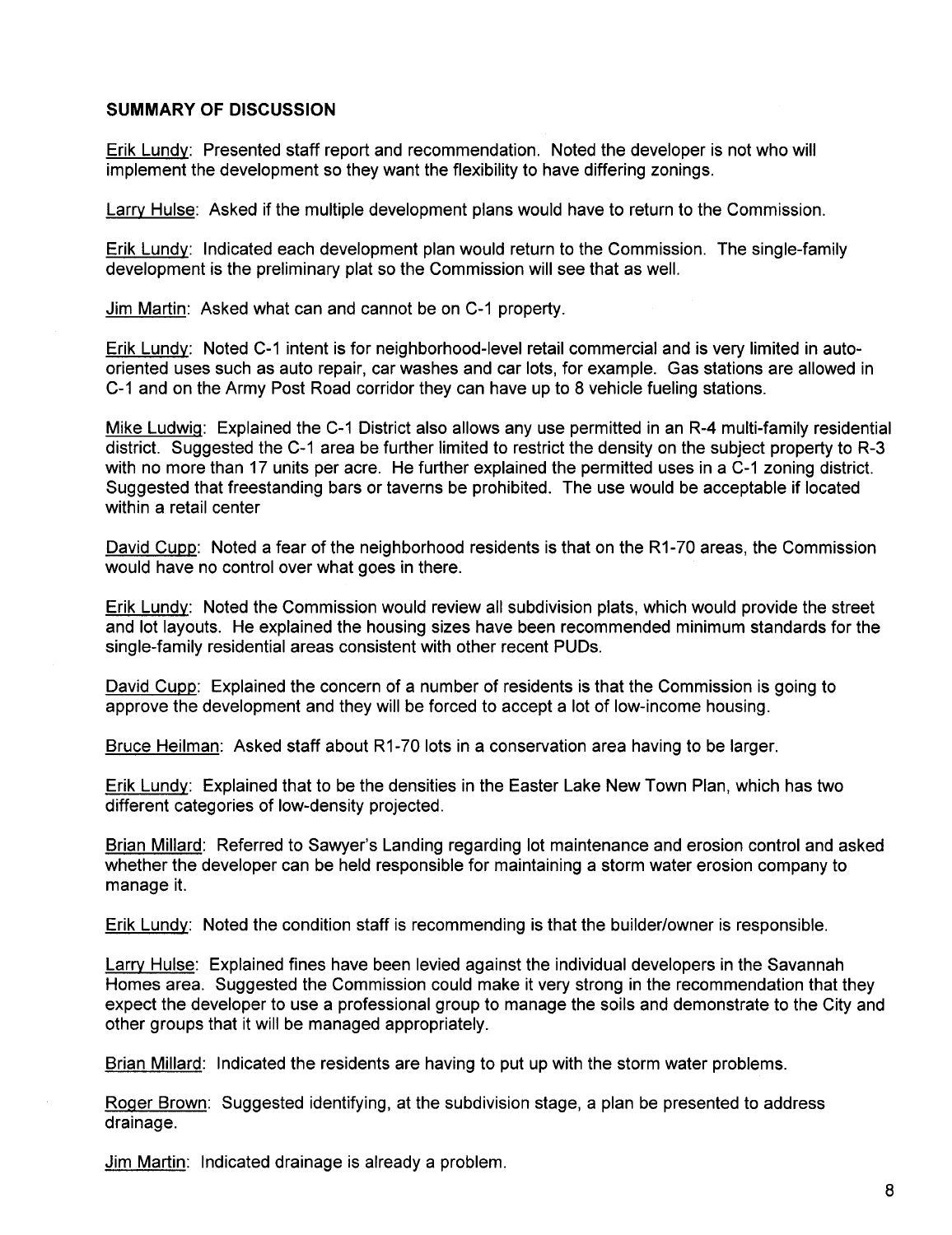#### SUMMARY OF DISCUSSION

Erik Lundy: Presented staff report and recommendation. Noted the developer is not who will implement the development so they want the flexibility to have differing zonings.

Larry Hulse: Asked if the multiple development plans would have to return to the Commission.

Erik Lundy: Indicated each development plan would return to the Commission. The single-family development is the preliminary plat so the Commission will see that as welL.

Jim Martin: Asked what can and cannot be on C-1 property.

Erik Lundy: Noted C-1 intent is for neighborhood-level retail commercial and is very limited in autooriented uses such as auto repair, car washes and car lots, for example. Gas stations are allowed in C-1 and on the Army Post Road corridor they can have up to 8 vehicle fueling stations.

Mike Ludwio: Explained the C-1 District also allows any use permitted in an R-4 multi-family residential district. Suggested the C-1 area be further limited to restrict the density on the subject property to R-3 with no more than 17 units per acre. He further explained the permitted uses in a C-1 zoning district. Suggested that freestanding bars or taverns be prohibited. The use would be acceptable if located within a retail center

David Cupp: Noted a fear of the neighborhood residents is that on the R1-70 areas, the Commission would have no control over what goes in there.

Erik Lundy: Noted the Commission would review all subdivision plats, which would provide the street and lot layouts. He explained the housing sizes have been recommended minimum standards for the single-family residential areas consistent with other recent PUDs.

David Cupp: Explained the concern of a number of residents is that the Commission is going to approve the development and they will be forced to accept a lot of low-income housing.

Bruce Heilman: Asked staff about R1-70 lots in a conservation area having to be larger.

Erik Lundy: Explained that to be the densities in the Easter Lake New Town Plan, which has two different categories of low-density projected.

Brian Millard: Referred to Sawyer's Landing regarding lot maintenance and erosion control and asked whether the developer can be held responsible for maintaining a storm water erosion company to manage it.

Erik Lundy: Noted the condition staff is recommending is that the builder/owner is responsible.

Larry Hulse: Explained fines have been levied against the individual developers in the Savannah Homes area. Suggested the Commission could make it very strong in the recommendation that they expect the developer to use a professional group to manage the soils and demonstrate to the City and other groups that it will be managed appropriately.

Brian Millard: Indicated the residents are having to put up with the storm water problems.

Roger Brown: Suggested identifying, at the subdivision stage, a plan be presented to address drainage.

Jim Martin: Indicated drainage is already a problem.